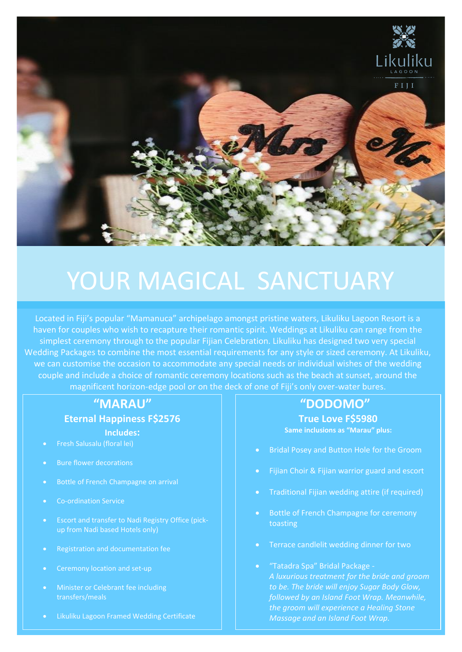

# YOUR MAGICAL SANCTUARY

Located in Fiji's popular "Mamanuca" archipelago amongst pristine waters, Likuliku Lagoon Resort is a haven for couples who wish to recapture their romantic spirit. Weddings at Likuliku can range from the simplest ceremony through to the popular Fijian Celebration. Likuliku has designed two very special Wedding Packages to combine the most essential requirements for any style or sized ceremony. At Likuliku, we can customise the occasion to accommodate any special needs or individual wishes of the wedding couple and include a choice of romantic ceremony locations such as the beach at sunset, around the magnificent horizon-edge pool or on the deck of one of Fiji's only over-water bures.

## **"MARAU"**

#### **Eternal Happiness F\$2576**

**Includes:**

- Fresh Salusalu (floral lei)
- **Bure flower decorations**
- Bottle of French Champagne on arrival
- Co-ordination Service
- Escort and transfer to Nadi Registry Office (pick-
- Registration and documentation fee
- Ceremony location and set-up
- Minister or Celebrant fee including transfers/meals
- Likuliku Lagoon Framed Wedding Certificate

## **"DODOMO"**

**True Love F\$5980 Same inclusions as "Marau" plus:**

- Bridal Posey and Button Hole for the Groom
- Fijian Choir & Fijian warrior guard and escort
- Traditional Fijian wedding attire (if required)
- Bottle of French Champagne for ceremony toasting
- Terrace candlelit wedding dinner for two
- "Tatadra Spa" Bridal Package *A luxurious treatment for the bride and groom to be. The bride will enjoy Sugar Body Glow, followed by an Island Foot Wrap. Meanwhile, the groom will experience a Healing Stone Massage and an Island Foot Wrap.*